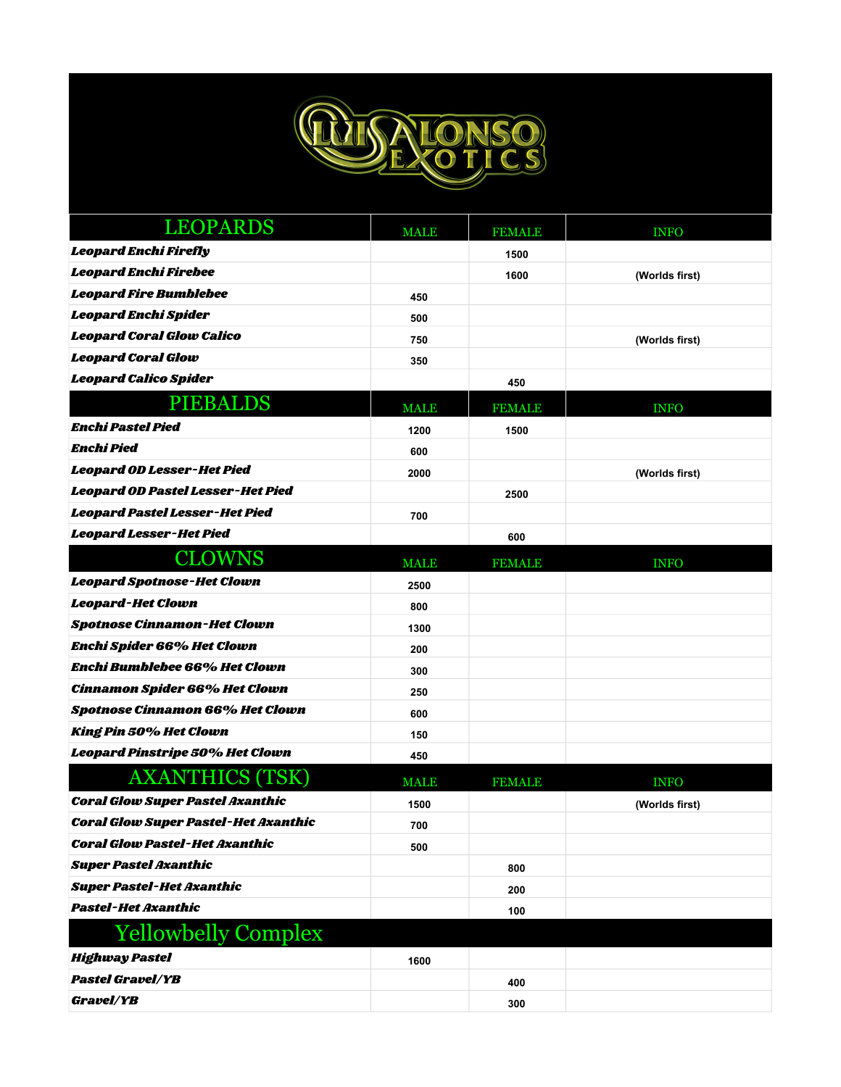

| <b>LEOPARDS</b>                             | <b>MALE</b> | <b>FEMALE</b> | <b>INFO</b>    |
|---------------------------------------------|-------------|---------------|----------------|
| <b>Leopard Enchi Firefly</b>                |             | 1500          |                |
| Leopard Enchi Firebee                       |             | 1600          | (Worlds first) |
| <b>Leopard Fire Bumblebee</b>               | 450         |               |                |
| Leopard Enchi Spider                        | 500         |               |                |
| <b>Leopard Coral Glow Calico</b>            | 750         |               | (Worlds first) |
| <b>Leopard Coral Glow</b>                   | 350         |               |                |
| Leopard Calico Spider                       |             | 450           |                |
| <b>PIEBALDS</b>                             | <b>MALE</b> | <b>FEMALE</b> | <b>INFO</b>    |
| <b>Enchi Pastel Pied</b>                    | 1200        | 1500          |                |
| <b>Enchi Pied</b>                           | 600         |               |                |
| Leopard OD Lesser-Het Pied                  | 2000        |               | (Worlds first) |
| Leopard OD Pastel Lesser-Het Pied           |             | 2500          |                |
| Leopard Pastel Lesser-Het Pied              | 700         |               |                |
| Leopard Lesser-Het Pied                     |             | 600           |                |
| <b>CLOWNS</b>                               | <b>MALE</b> | <b>FEMALE</b> | <b>INFO</b>    |
| <b>Leopard Spotnose-Het Clown</b>           | 2500        |               |                |
| <b>Leopard-Het Clown</b>                    | 800         |               |                |
| <b>Spotnose Cinnamon-Het Clown</b>          | 1300        |               |                |
| <b>Enchi Spider 66% Het Clown</b>           | 200         |               |                |
| Enchi Bumblebee 66% Het Clown               | 300         |               |                |
| <b>Cinnamon Spider 66% Het Clown</b>        | 250         |               |                |
| <b>Spotnose Cinnamon 66% Het Clown</b>      | 600         |               |                |
| <b>King Pin 50% Het Clown</b>               | 150         |               |                |
| Leopard Pinstripe 50% Het Clown             | 450         |               |                |
| <b>AXANTHICS (TSK)</b>                      | <b>MALE</b> | <b>FEMALE</b> | <b>INFO</b>    |
| <b>Coral Glow Super Pastel Axanthic</b>     | 1500        |               | (Worlds first) |
| <b>Coral Glow Super Pastel-Het Axanthic</b> | 700         |               |                |
| <b>Coral Glow Pastel-Het Axanthic</b>       | 500         |               |                |
| <b>Super Pastel Axanthic</b>                |             | 800           |                |
| <b>Super Pastel-Het Axanthic</b>            |             | 200           |                |
| <b>Pastel-Het Axanthic</b>                  |             | 100           |                |
| <b>Yellowbelly Complex</b>                  |             |               |                |
| <b>Highway Pastel</b>                       | 1600        |               |                |
| <b>Pastel Gravel/YB</b>                     |             | 400           |                |
| Gravel/YB                                   |             | 300           |                |